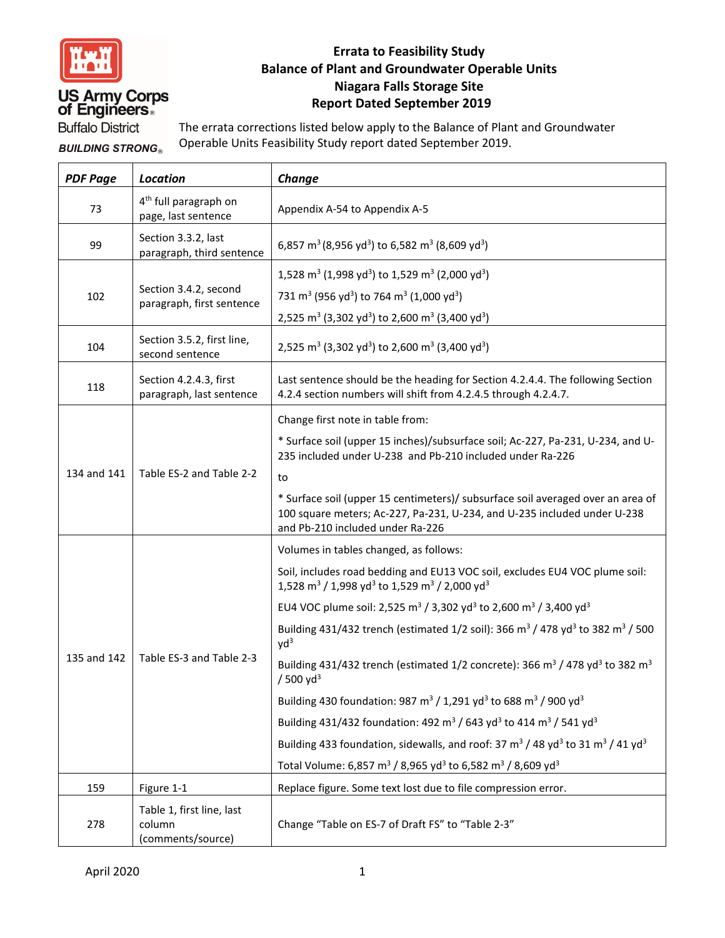

## **US Army Corps<br>of Engineers**

#### **Errata to Feasibility Study Balance of Plant and Groundwater Operable Units Niagara Falls Storage Site Report Dated September 2019**

**Buffalo District** 

The errata corrections listed below apply to the Balance of Plant and Groundwater Operable Units Feasibility Study report dated September 2019. **BUILDING STRONG®** 

| <b>PDF Page</b> | <b>Location</b>                                          | Change                                                                                                                                                                                          |
|-----------------|----------------------------------------------------------|-------------------------------------------------------------------------------------------------------------------------------------------------------------------------------------------------|
| 73              | 4 <sup>th</sup> full paragraph on<br>page, last sentence | Appendix A-54 to Appendix A-5                                                                                                                                                                   |
| 99              | Section 3.3.2, last<br>paragraph, third sentence         | 6,857 m <sup>3</sup> (8,956 yd <sup>3</sup> ) to 6,582 m <sup>3</sup> (8,609 yd <sup>3</sup> )                                                                                                  |
| 102             | Section 3.4.2, second<br>paragraph, first sentence       | 1,528 m <sup>3</sup> (1,998 yd <sup>3</sup> ) to 1,529 m <sup>3</sup> (2,000 yd <sup>3</sup> )                                                                                                  |
|                 |                                                          | 731 m <sup>3</sup> (956 yd <sup>3</sup> ) to 764 m <sup>3</sup> (1,000 yd <sup>3</sup> )                                                                                                        |
|                 |                                                          | 2,525 m <sup>3</sup> (3,302 yd <sup>3</sup> ) to 2,600 m <sup>3</sup> (3,400 yd <sup>3</sup> )                                                                                                  |
| 104             | Section 3.5.2, first line,<br>second sentence            | 2,525 m <sup>3</sup> (3,302 yd <sup>3</sup> ) to 2,600 m <sup>3</sup> (3,400 yd <sup>3</sup> )                                                                                                  |
| 118             | Section 4.2.4.3, first<br>paragraph, last sentence       | Last sentence should be the heading for Section 4.2.4.4. The following Section<br>4.2.4 section numbers will shift from 4.2.4.5 through 4.2.4.7.                                                |
| 134 and 141     | Table ES-2 and Table 2-2                                 | Change first note in table from:                                                                                                                                                                |
|                 |                                                          | * Surface soil (upper 15 inches)/subsurface soil; Ac-227, Pa-231, U-234, and U-<br>235 included under U-238 and Pb-210 included under Ra-226                                                    |
|                 |                                                          | to                                                                                                                                                                                              |
|                 |                                                          | * Surface soil (upper 15 centimeters)/ subsurface soil averaged over an area of<br>100 square meters; Ac-227, Pa-231, U-234, and U-235 included under U-238<br>and Pb-210 included under Ra-226 |
| 135 and 142     | Table ES-3 and Table 2-3                                 | Volumes in tables changed, as follows:                                                                                                                                                          |
|                 |                                                          | Soil, includes road bedding and EU13 VOC soil, excludes EU4 VOC plume soil:<br>1,528 m <sup>3</sup> / 1,998 yd <sup>3</sup> to 1,529 m <sup>3</sup> / 2,000 yd <sup>3</sup>                     |
|                 |                                                          | EU4 VOC plume soil: 2,525 m <sup>3</sup> / 3,302 yd <sup>3</sup> to 2,600 m <sup>3</sup> / 3,400 yd <sup>3</sup>                                                                                |
|                 |                                                          | Building 431/432 trench (estimated 1/2 soil): 366 m <sup>3</sup> / 478 yd <sup>3</sup> to 382 m <sup>3</sup> / 500<br>$yd^3$                                                                    |
|                 |                                                          | Building 431/432 trench (estimated 1/2 concrete): 366 m <sup>3</sup> / 478 yd <sup>3</sup> to 382 m <sup>3</sup><br>$/500$ yd <sup>3</sup>                                                      |
|                 |                                                          | Building 430 foundation: 987 m <sup>3</sup> / 1,291 yd <sup>3</sup> to 688 m <sup>3</sup> / 900 yd <sup>3</sup>                                                                                 |
|                 |                                                          | Building 431/432 foundation: 492 m <sup>3</sup> / 643 yd <sup>3</sup> to 414 m <sup>3</sup> / 541 yd <sup>3</sup>                                                                               |
|                 |                                                          | Building 433 foundation, sidewalls, and roof: 37 m <sup>3</sup> / 48 yd <sup>3</sup> to 31 m <sup>3</sup> / 41 yd <sup>3</sup>                                                                  |
|                 |                                                          | Total Volume: 6,857 m <sup>3</sup> / 8,965 yd <sup>3</sup> to 6,582 m <sup>3</sup> / 8,609 yd <sup>3</sup>                                                                                      |
| 159             | Figure 1-1                                               | Replace figure. Some text lost due to file compression error.                                                                                                                                   |
| 278             | Table 1, first line, last<br>column<br>(comments/source) | Change "Table on ES-7 of Draft FS" to "Table 2-3"                                                                                                                                               |